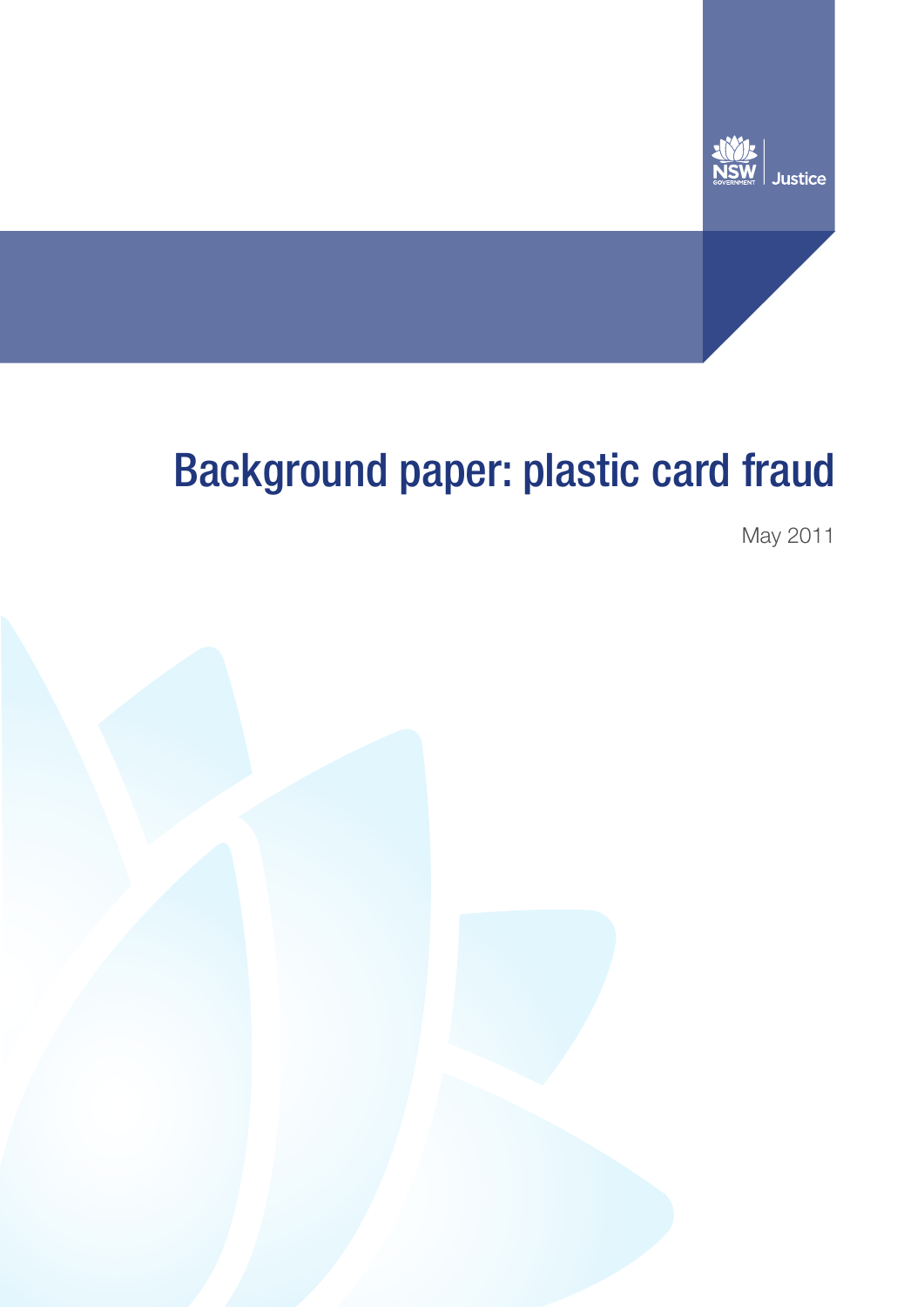

# Background paper: plastic card fraud

May 2011

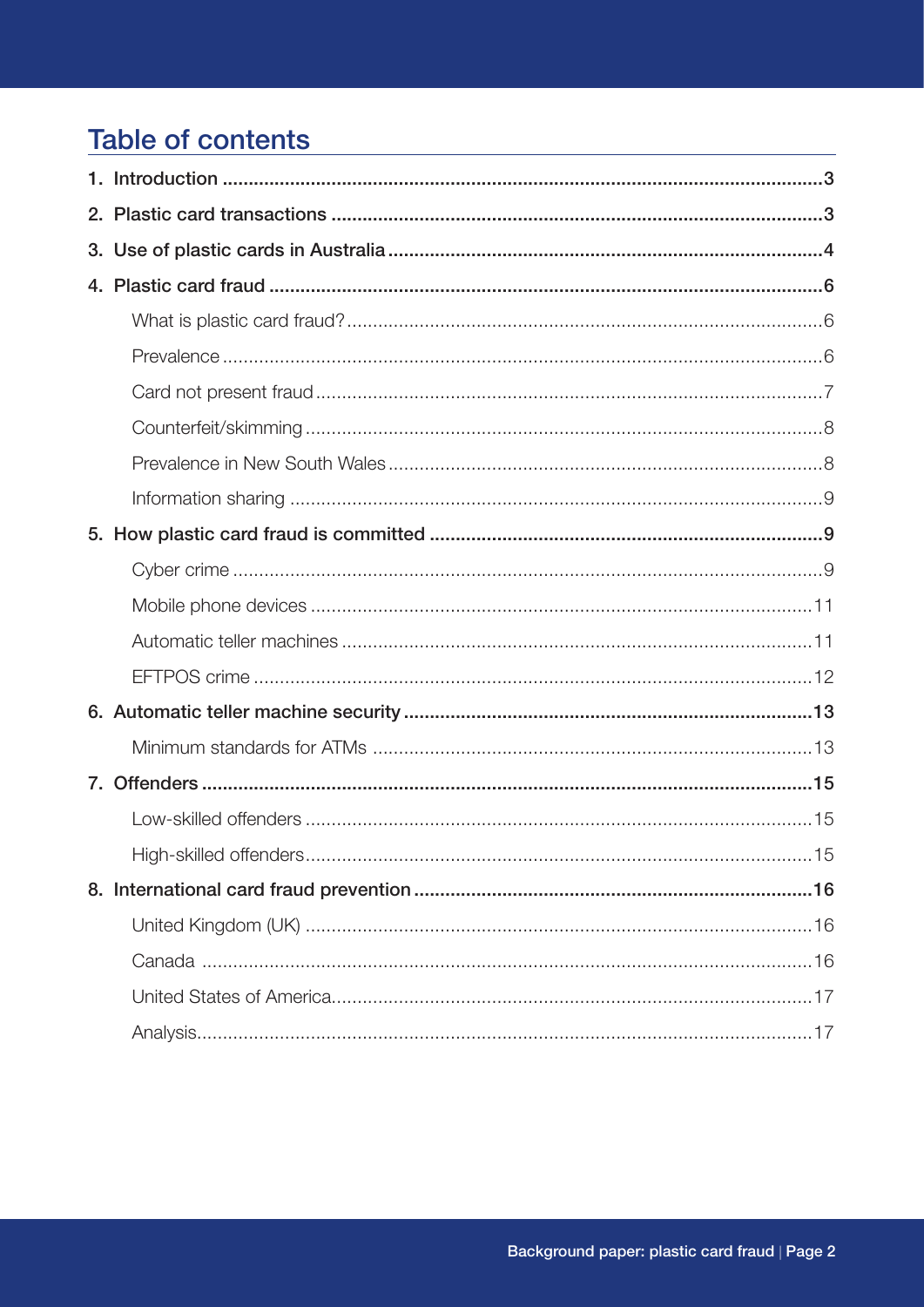# **Table of contents**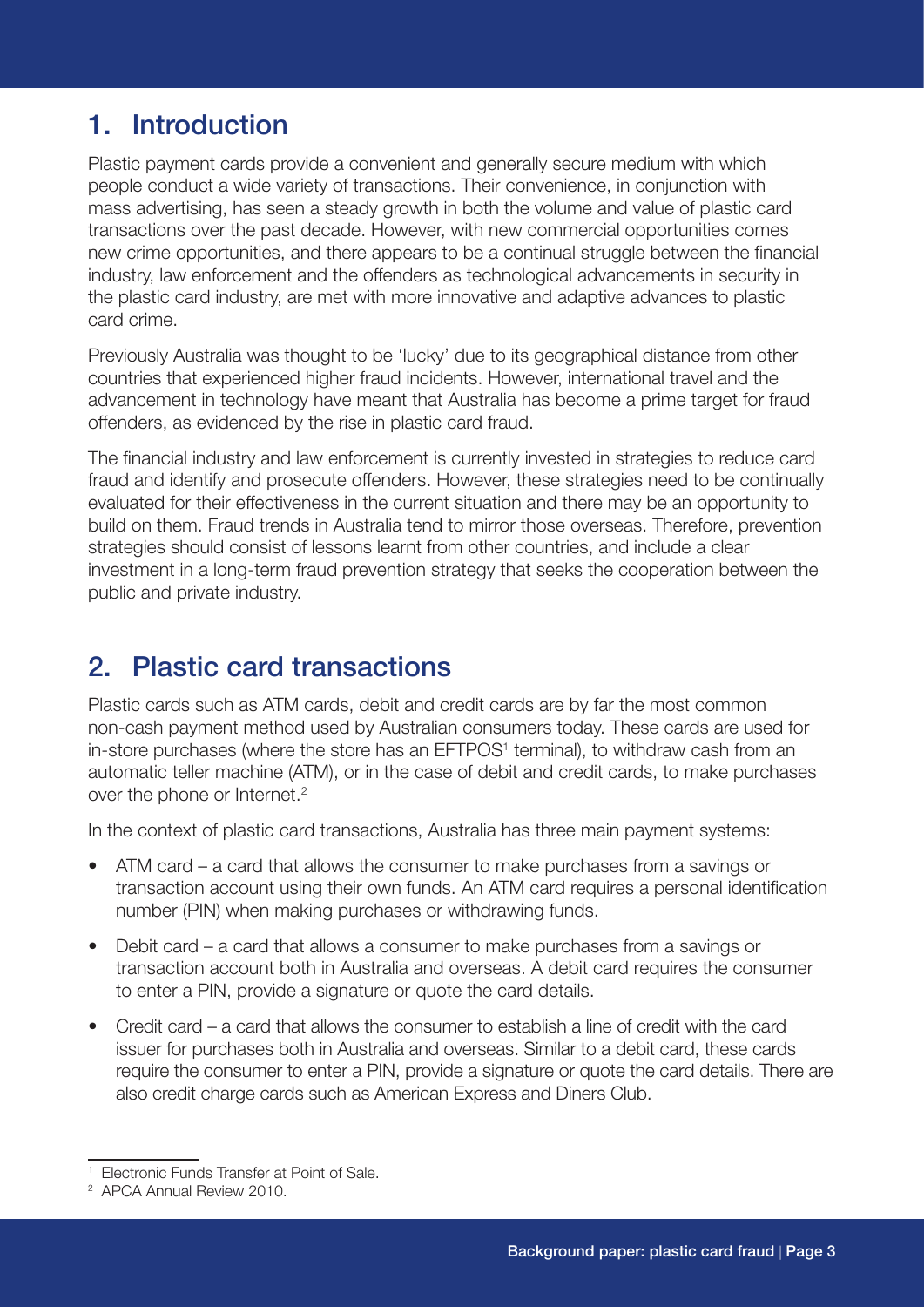# 1. Introduction

Plastic payment cards provide a convenient and generally secure medium with which people conduct a wide variety of transactions. Their convenience, in conjunction with mass advertising, has seen a steady growth in both the volume and value of plastic card transactions over the past decade. However, with new commercial opportunities comes new crime opportunities, and there appears to be a continual struggle between the financial industry, law enforcement and the offenders as technological advancements in security in the plastic card industry, are met with more innovative and adaptive advances to plastic card crime.

Previously Australia was thought to be 'lucky' due to its geographical distance from other countries that experienced higher fraud incidents. However, international travel and the advancement in technology have meant that Australia has become a prime target for fraud offenders, as evidenced by the rise in plastic card fraud.

The financial industry and law enforcement is currently invested in strategies to reduce card fraud and identify and prosecute offenders. However, these strategies need to be continually evaluated for their effectiveness in the current situation and there may be an opportunity to build on them. Fraud trends in Australia tend to mirror those overseas. Therefore, prevention strategies should consist of lessons learnt from other countries, and include a clear investment in a long-term fraud prevention strategy that seeks the cooperation between the public and private industry.

# 2. Plastic card transactions

Plastic cards such as ATM cards, debit and credit cards are by far the most common non-cash payment method used by Australian consumers today. These cards are used for in-store purchases (where the store has an EFTPOS<sup>1</sup> terminal), to withdraw cash from an automatic teller machine (ATM), or in the case of debit and credit cards, to make purchases over the phone or Internet.<sup>2</sup>

In the context of plastic card transactions, Australia has three main payment systems:

- ATM card a card that allows the consumer to make purchases from a savings or transaction account using their own funds. An ATM card requires a personal identification number (PIN) when making purchases or withdrawing funds.
- Debit card a card that allows a consumer to make purchases from a savings or transaction account both in Australia and overseas. A debit card requires the consumer to enter a PIN, provide a signature or quote the card details.
- Credit card a card that allows the consumer to establish a line of credit with the card issuer for purchases both in Australia and overseas. Similar to a debit card, these cards require the consumer to enter a PIN, provide a signature or quote the card details. There are also credit charge cards such as American Express and Diners Club.

<sup>1</sup> Electronic Funds Transfer at Point of Sale.

<sup>2</sup> APCA Annual Review 2010.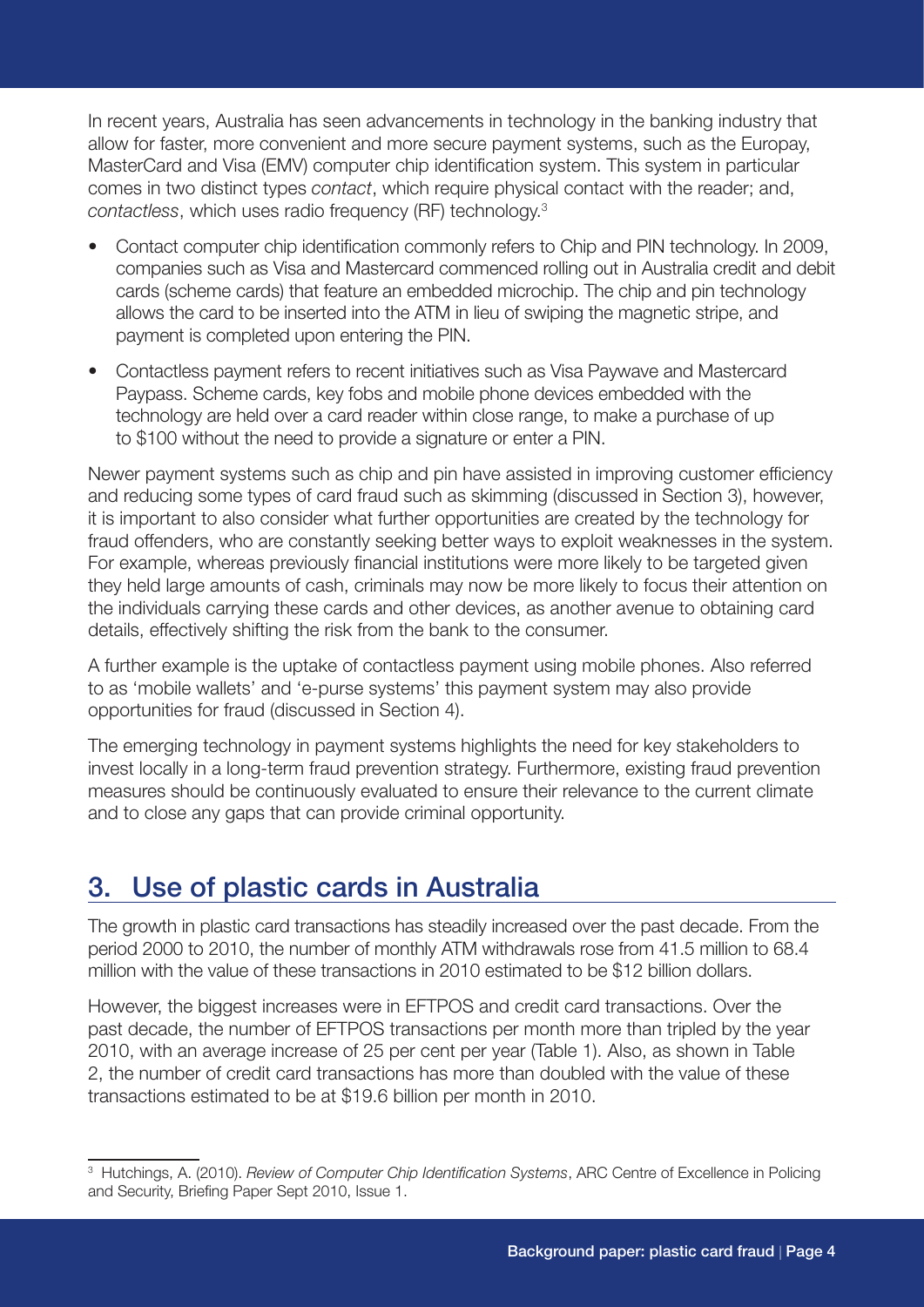In recent years, Australia has seen advancements in technology in the banking industry that allow for faster, more convenient and more secure payment systems, such as the Europay, MasterCard and Visa (EMV) computer chip identification system. This system in particular comes in two distinct types *contact*, which require physical contact with the reader; and, *contactless*, which uses radio frequency (RF) technology.3

- Contact computer chip identification commonly refers to Chip and PIN technology. In 2009, companies such as Visa and Mastercard commenced rolling out in Australia credit and debit cards (scheme cards) that feature an embedded microchip. The chip and pin technology allows the card to be inserted into the ATM in lieu of swiping the magnetic stripe, and payment is completed upon entering the PIN.
- Contactless payment refers to recent initiatives such as Visa Paywave and Mastercard Paypass. Scheme cards, key fobs and mobile phone devices embedded with the technology are held over a card reader within close range, to make a purchase of up to \$100 without the need to provide a signature or enter a PIN.

Newer payment systems such as chip and pin have assisted in improving customer efficiency and reducing some types of card fraud such as skimming (discussed in Section 3), however, it is important to also consider what further opportunities are created by the technology for fraud offenders, who are constantly seeking better ways to exploit weaknesses in the system. For example, whereas previously financial institutions were more likely to be targeted given they held large amounts of cash, criminals may now be more likely to focus their attention on the individuals carrying these cards and other devices, as another avenue to obtaining card details, effectively shifting the risk from the bank to the consumer.

A further example is the uptake of contactless payment using mobile phones. Also referred to as 'mobile wallets' and 'e-purse systems' this payment system may also provide opportunities for fraud (discussed in Section 4).

The emerging technology in payment systems highlights the need for key stakeholders to invest locally in a long-term fraud prevention strategy. Furthermore, existing fraud prevention measures should be continuously evaluated to ensure their relevance to the current climate and to close any gaps that can provide criminal opportunity.

# 3. Use of plastic cards in Australia

The growth in plastic card transactions has steadily increased over the past decade. From the period 2000 to 2010, the number of monthly ATM withdrawals rose from 41.5 million to 68.4 million with the value of these transactions in 2010 estimated to be \$12 billion dollars.

However, the biggest increases were in EFTPOS and credit card transactions. Over the past decade, the number of EFTPOS transactions per month more than tripled by the year 2010, with an average increase of 25 per cent per year (Table 1). Also, as shown in Table 2, the number of credit card transactions has more than doubled with the value of these transactions estimated to be at \$19.6 billion per month in 2010.

<sup>3</sup> Hutchings, A. (2010). *Review of Computer Chip Identification Systems*, ARC Centre of Excellence in Policing and Security, Briefing Paper Sept 2010, Issue 1.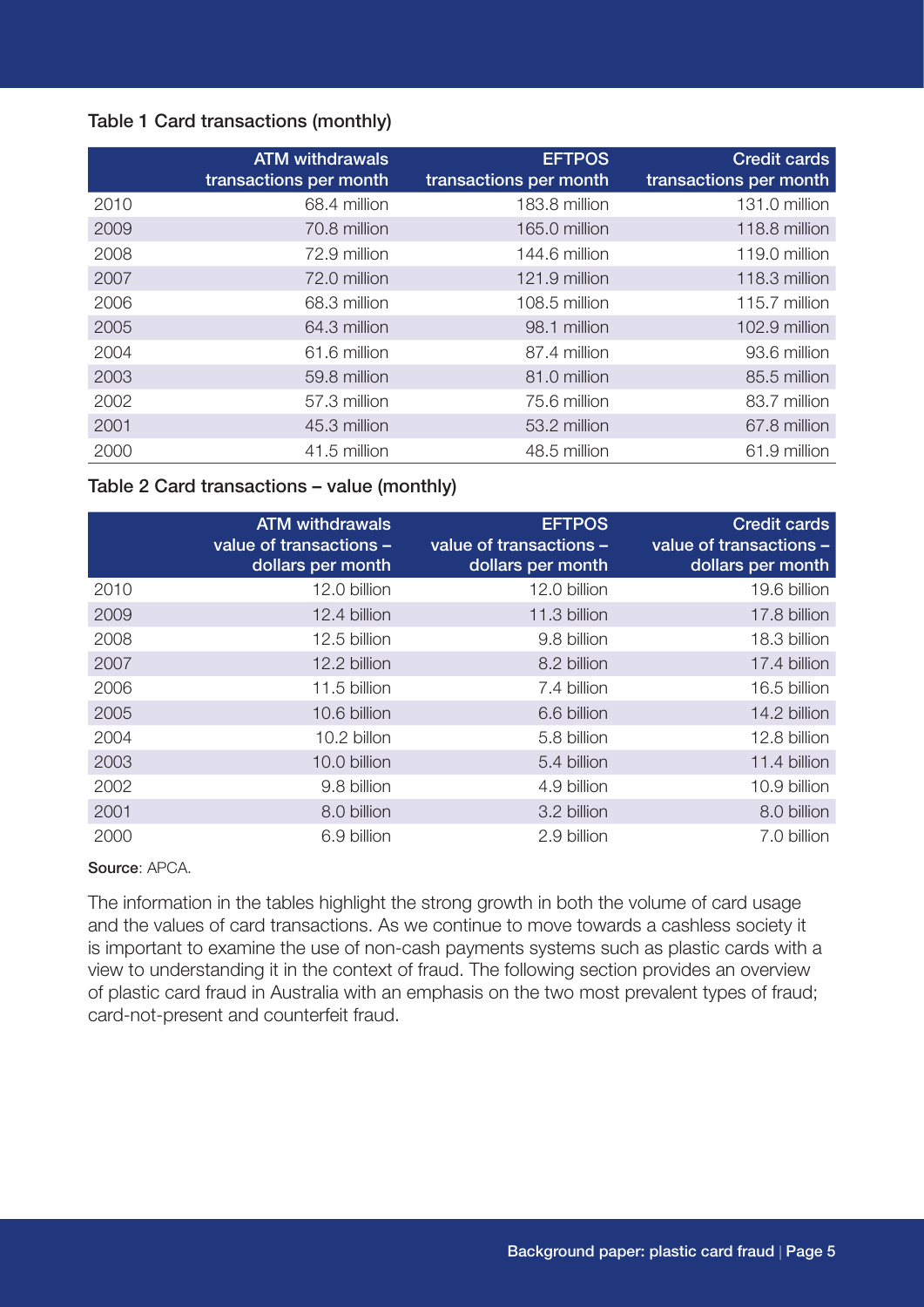#### Table 1 Card transactions (monthly)

|      | <b>ATM withdrawals</b><br>transactions per month | <b>EFTPOS</b><br>transactions per month | <b>Credit cards</b><br>transactions per month |
|------|--------------------------------------------------|-----------------------------------------|-----------------------------------------------|
| 2010 | 68.4 million                                     | 183.8 million                           | 131.0 million                                 |
| 2009 | 70.8 million                                     | 165.0 million                           | 118.8 million                                 |
| 2008 | 72.9 million                                     | 144.6 million                           | 119.0 million                                 |
| 2007 | 72.0 million                                     | 121.9 million                           | 118.3 million                                 |
| 2006 | 68.3 million                                     | 108.5 million                           | 115.7 million                                 |
| 2005 | 64.3 million                                     | 98.1 million                            | 102.9 million                                 |
| 2004 | 61.6 million                                     | 87.4 million                            | 93.6 million                                  |
| 2003 | 59.8 million                                     | 81.0 million                            | 85.5 million                                  |
| 2002 | 57.3 million                                     | 75.6 million                            | 83.7 million                                  |
| 2001 | 45.3 million                                     | 53.2 million                            | 67.8 million                                  |
| 2000 | 41.5 million                                     | 48.5 million                            | 61.9 million                                  |

#### Table 2 Card transactions – value (monthly)

|      | <b>ATM withdrawals</b><br>value of transactions -<br>dollars per month | <b>EFTPOS</b><br>value of transactions -<br>dollars per month | <b>Credit cards</b><br>value of transactions -<br>dollars per month |
|------|------------------------------------------------------------------------|---------------------------------------------------------------|---------------------------------------------------------------------|
| 2010 | 12.0 billion                                                           | 12.0 billion                                                  | 19.6 billion                                                        |
| 2009 | 12.4 billion                                                           | 11.3 billion                                                  | 17.8 billion                                                        |
| 2008 | 12.5 billion                                                           | 9.8 billion                                                   | 18.3 billion                                                        |
| 2007 | 12.2 billion                                                           | 8.2 billion                                                   | 17.4 billion                                                        |
| 2006 | 11.5 billion                                                           | 7.4 billion                                                   | 16.5 billion                                                        |
| 2005 | 10.6 billion                                                           | 6.6 billion                                                   | 14.2 billion                                                        |
| 2004 | 10.2 billon                                                            | 5.8 billion                                                   | 12.8 billion                                                        |
| 2003 | 10.0 billion                                                           | 5.4 billion                                                   | 11.4 billion                                                        |
| 2002 | 9.8 billion                                                            | 4.9 billion                                                   | 10.9 billion                                                        |
| 2001 | 8.0 billion                                                            | 3.2 billion                                                   | 8.0 billion                                                         |
| 2000 | 6.9 billion                                                            | 2.9 billion                                                   | 7.0 billion                                                         |

#### Source: APCA.

The information in the tables highlight the strong growth in both the volume of card usage and the values of card transactions. As we continue to move towards a cashless society it is important to examine the use of non-cash payments systems such as plastic cards with a view to understanding it in the context of fraud. The following section provides an overview of plastic card fraud in Australia with an emphasis on the two most prevalent types of fraud; card-not-present and counterfeit fraud.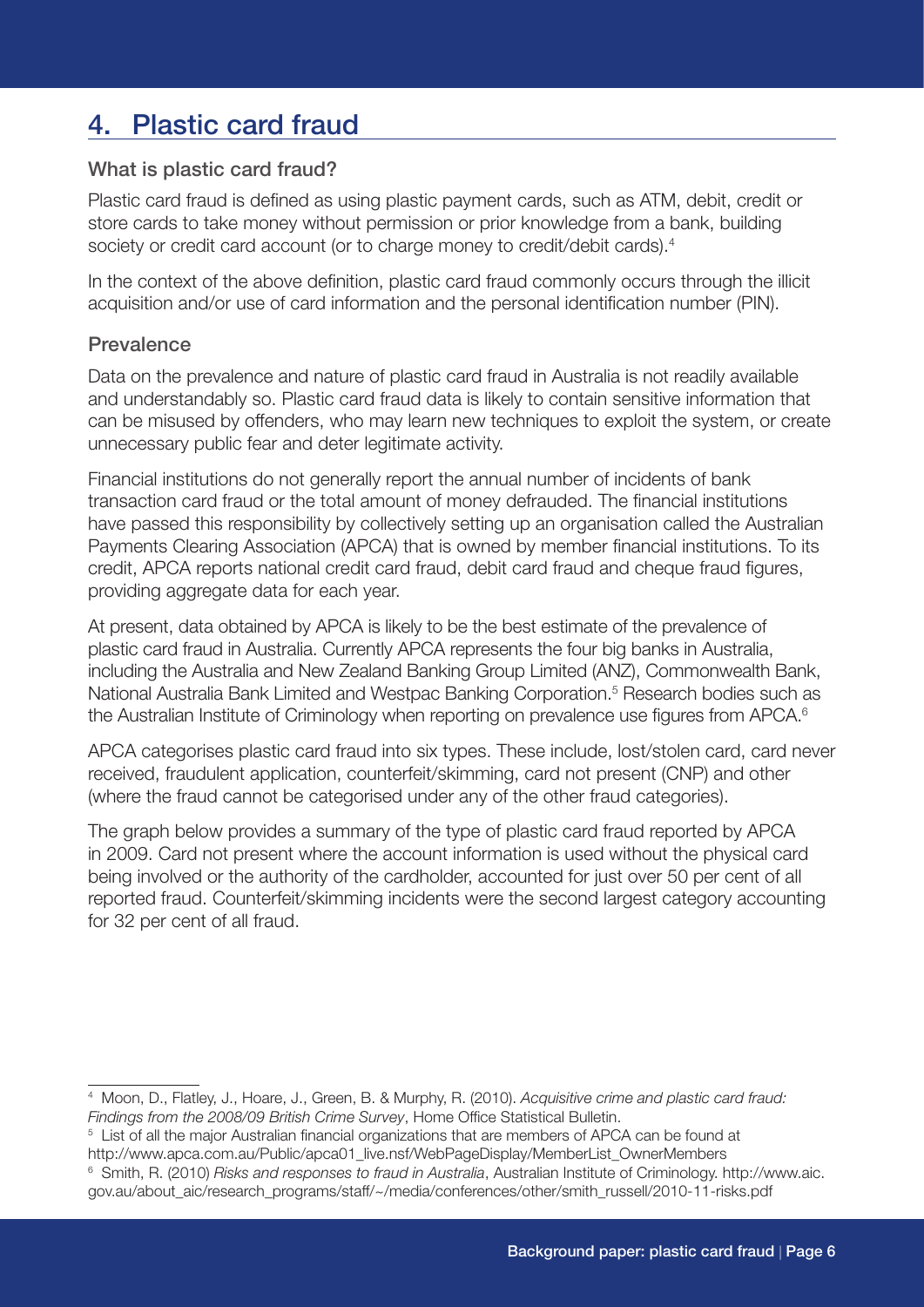# 4. Plastic card fraud

#### What is plastic card fraud?

Plastic card fraud is defined as using plastic payment cards, such as ATM, debit, credit or store cards to take money without permission or prior knowledge from a bank, building society or credit card account (or to charge money to credit/debit cards).<sup>4</sup>

In the context of the above definition, plastic card fraud commonly occurs through the illicit acquisition and/or use of card information and the personal identification number (PIN).

### **Prevalence**

Data on the prevalence and nature of plastic card fraud in Australia is not readily available and understandably so. Plastic card fraud data is likely to contain sensitive information that can be misused by offenders, who may learn new techniques to exploit the system, or create unnecessary public fear and deter legitimate activity.

Financial institutions do not generally report the annual number of incidents of bank transaction card fraud or the total amount of money defrauded. The financial institutions have passed this responsibility by collectively setting up an organisation called the Australian Payments Clearing Association (APCA) that is owned by member financial institutions. To its credit, APCA reports national credit card fraud, debit card fraud and cheque fraud figures, providing aggregate data for each year.

At present, data obtained by APCA is likely to be the best estimate of the prevalence of plastic card fraud in Australia. Currently APCA represents the four big banks in Australia, including the Australia and New Zealand Banking Group Limited (ANZ), Commonwealth Bank, National Australia Bank Limited and Westpac Banking Corporation.<sup>5</sup> Research bodies such as the Australian Institute of Criminology when reporting on prevalence use figures from APCA.<sup>6</sup>

APCA categorises plastic card fraud into six types. These include, lost/stolen card, card never received, fraudulent application, counterfeit/skimming, card not present (CNP) and other (where the fraud cannot be categorised under any of the other fraud categories).

The graph below provides a summary of the type of plastic card fraud reported by APCA in 2009. Card not present where the account information is used without the physical card being involved or the authority of the cardholder, accounted for just over 50 per cent of all reported fraud. Counterfeit/skimming incidents were the second largest category accounting for 32 per cent of all fraud.

<sup>4</sup> Moon, D., Flatley, J., Hoare, J., Green, B. & Murphy, R. (2010). *Acquisitive crime and plastic card fraud: Findings from the 2008/09 British Crime Survey*, Home Office Statistical Bulletin.

 $5$  List of all the major Australian financial organizations that are members of APCA can be found at http://www.apca.com.au/Public/apca01\_live.nsf/WebPageDisplay/MemberList\_OwnerMembers 6 Smith, R. (2010) *Risks and responses to fraud in Australia*, Australian Institute of Criminology. http://www.aic. gov.au/about\_aic/research\_programs/staff/~/media/conferences/other/smith\_russell/2010-11-risks.pdf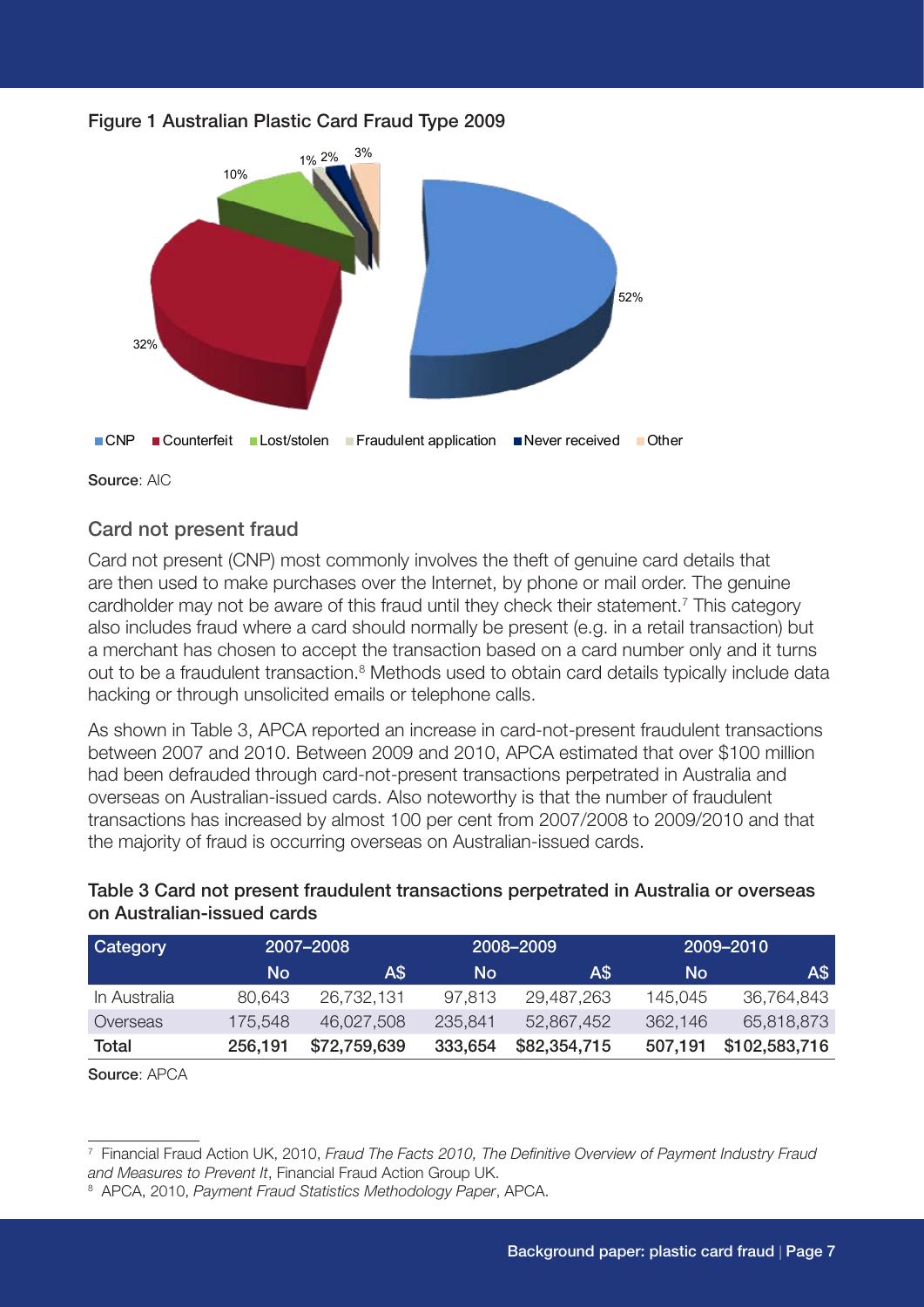



Source: AIC

#### Card not present fraud

Card not present (CNP) most commonly involves the theft of genuine card details that are then used to make purchases over the Internet, by phone or mail order. The genuine cardholder may not be aware of this fraud until they check their statement.<sup>7</sup> This category also includes fraud where a card should normally be present (e.g. in a retail transaction) but a merchant has chosen to accept the transaction based on a card number only and it turns out to be a fraudulent transaction.<sup>8</sup> Methods used to obtain card details typically include data hacking or through unsolicited emails or telephone calls.

As shown in Table 3, APCA reported an increase in card-not-present fraudulent transactions between 2007 and 2010. Between 2009 and 2010, APCA estimated that over \$100 million had been defrauded through card-not-present transactions perpetrated in Australia and overseas on Australian-issued cards. Also noteworthy is that the number of fraudulent transactions has increased by almost 100 per cent from 2007/2008 to 2009/2010 and that the majority of fraud is occurring overseas on Australian-issued cards.

Table 3 Card not present fraudulent transactions perpetrated in Australia or overseas on Australian-issued cards

| <b>Category</b> | 2007-2008 |              | 2008-2009 |              | 2009-2010 |               |
|-----------------|-----------|--------------|-----------|--------------|-----------|---------------|
|                 | <b>No</b> | AS           | No        | A\$          | No        | A\$           |
| In Australia    | 80,643    | 26,732,131   | 97,813    | 29,487,263   | 145.045   | 36,764,843    |
| Overseas        | 175,548   | 46,027,508   | 235,841   | 52,867,452   | 362,146   | 65,818,873    |
| Total           | 256,191   | \$72,759,639 | 333,654   | \$82,354,715 | 507,191   | \$102,583,716 |

Source: APCA

<sup>7</sup> Financial Fraud Action UK, 2010, *Fraud The Facts 2010, The Definitive Overview of Payment Industry Fraud and Measures to Prevent It*, Financial Fraud Action Group UK.

<sup>8</sup> APCA, 2010, *Payment Fraud Statistics Methodology Paper*, APCA.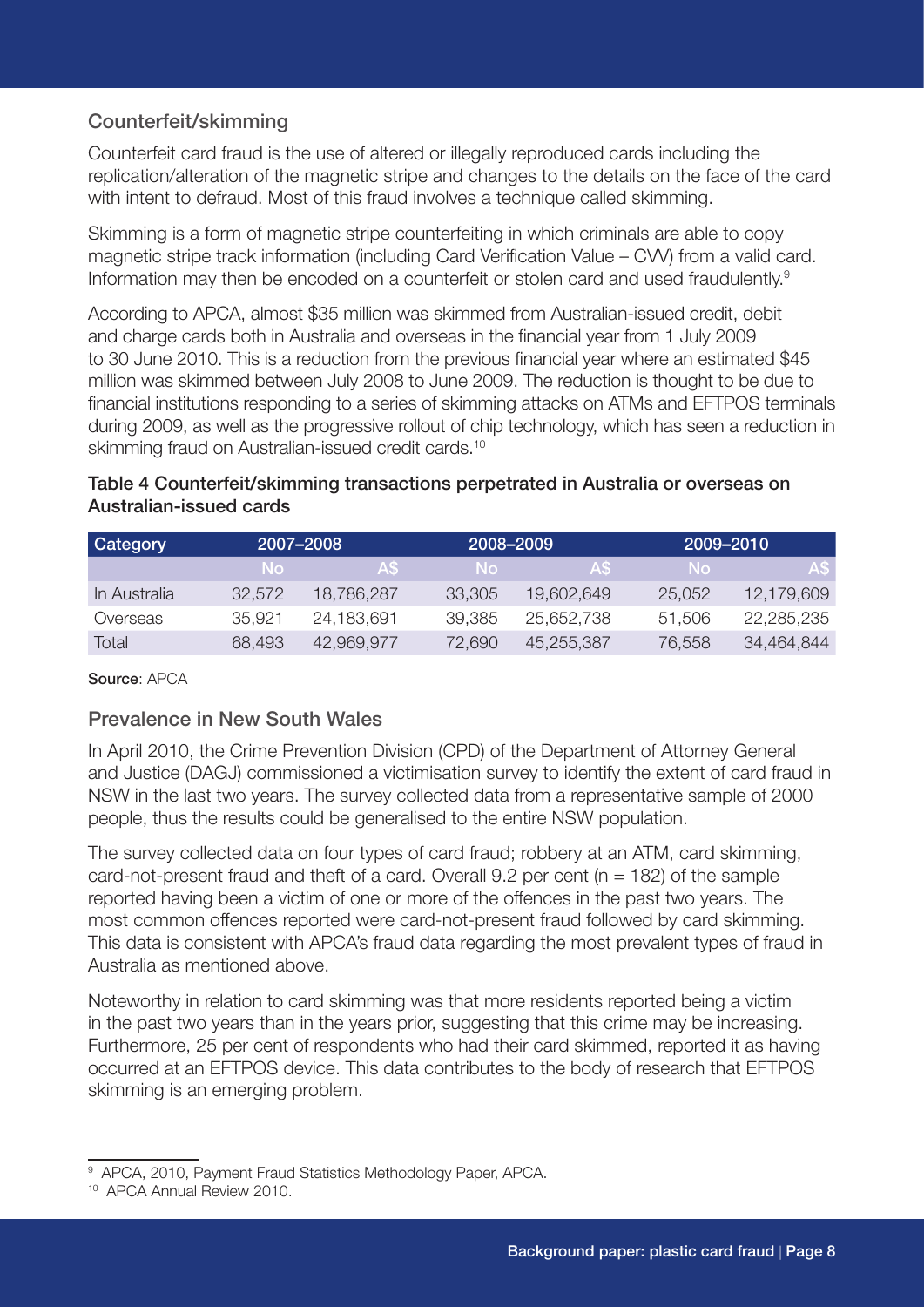### Counterfeit/skimming

Counterfeit card fraud is the use of altered or illegally reproduced cards including the replication/alteration of the magnetic stripe and changes to the details on the face of the card with intent to defraud. Most of this fraud involves a technique called skimming.

Skimming is a form of magnetic stripe counterfeiting in which criminals are able to copy magnetic stripe track information (including Card Verification Value – CVV) from a valid card. Information may then be encoded on a counterfeit or stolen card and used fraudulently.<sup>9</sup>

According to APCA, almost \$35 million was skimmed from Australian-issued credit, debit and charge cards both in Australia and overseas in the financial year from 1 July 2009 to 30 June 2010. This is a reduction from the previous financial year where an estimated \$45 million was skimmed between July 2008 to June 2009. The reduction is thought to be due to financial institutions responding to a series of skimming attacks on ATMs and EFTPOS terminals during 2009, as well as the progressive rollout of chip technology, which has seen a reduction in skimming fraud on Australian-issued credit cards.<sup>10</sup>

#### Table 4 Counterfeit/skimming transactions perpetrated in Australia or overseas on Australian-issued cards

| <b>Category</b> | 2007-2008 |            | 2008-2009 |            | 2009-2010 |            |
|-----------------|-----------|------------|-----------|------------|-----------|------------|
|                 | -No-      | AS.        | No.       | AS.        | -No       | AS         |
| In Australia    | 32.572    | 18,786,287 | 33,305    | 19,602,649 | 25,052    | 12,179,609 |
| Overseas        | 35.921    | 24,183,691 | 39,385    | 25,652,738 | 51,506    | 22,285,235 |
| Total           | 68.493    | 42.969.977 | 72,690    | 45,255,387 | 76,558    | 34,464,844 |

Source: APCA

### Prevalence in New South Wales

In April 2010, the Crime Prevention Division (CPD) of the Department of Attorney General and Justice (DAGJ) commissioned a victimisation survey to identify the extent of card fraud in NSW in the last two years. The survey collected data from a representative sample of 2000 people, thus the results could be generalised to the entire NSW population.

The survey collected data on four types of card fraud; robbery at an ATM, card skimming, card-not-present fraud and theft of a card. Overall  $9.2$  per cent (n = 182) of the sample reported having been a victim of one or more of the offences in the past two years. The most common offences reported were card-not-present fraud followed by card skimming. This data is consistent with APCA's fraud data regarding the most prevalent types of fraud in Australia as mentioned above.

Noteworthy in relation to card skimming was that more residents reported being a victim in the past two years than in the years prior, suggesting that this crime may be increasing. Furthermore, 25 per cent of respondents who had their card skimmed, reported it as having occurred at an EFTPOS device. This data contributes to the body of research that EFTPOS skimming is an emerging problem.

<sup>9</sup> APCA, 2010, Payment Fraud Statistics Methodology Paper, APCA.

<sup>10</sup> APCA Annual Review 2010.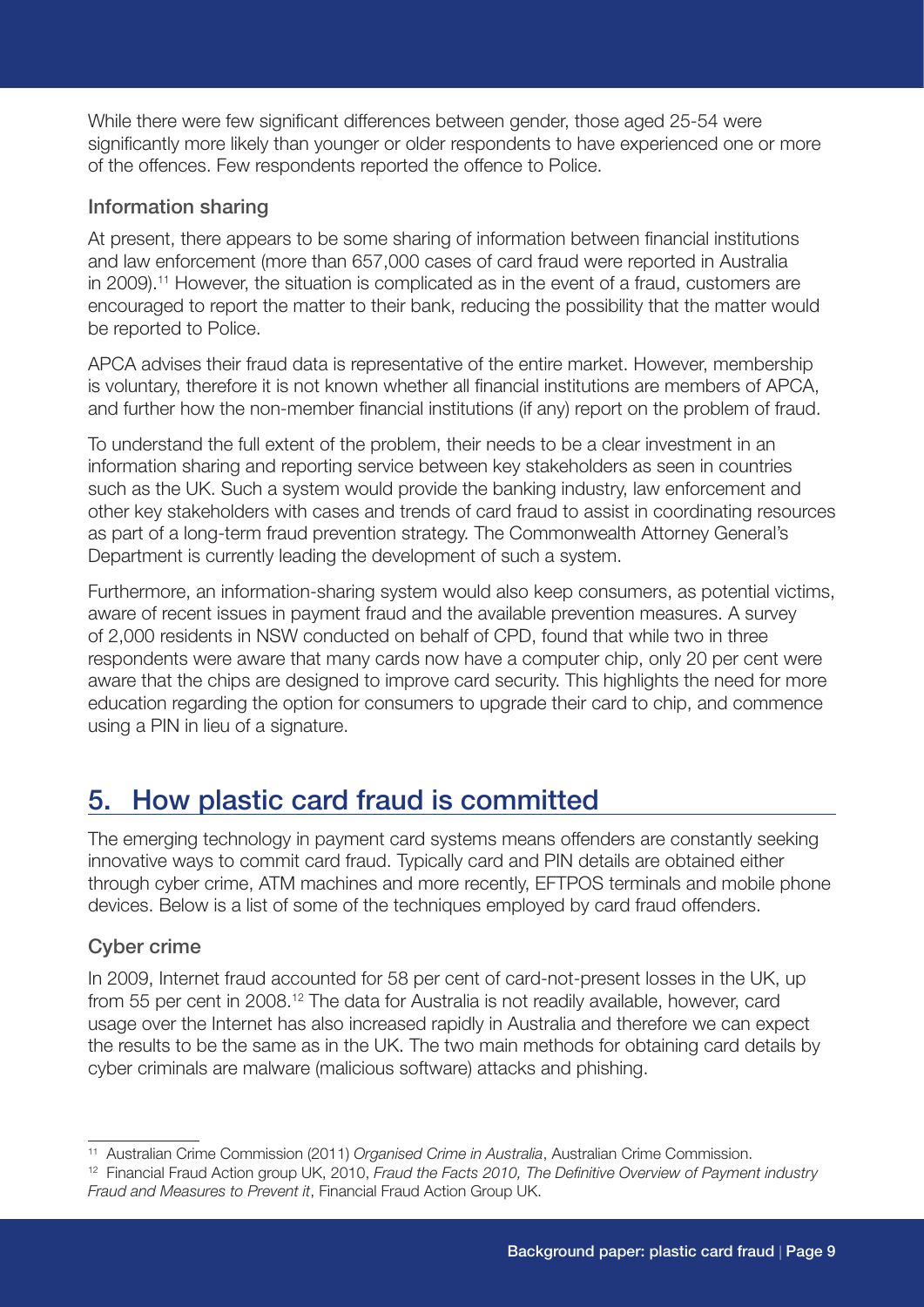While there were few significant differences between gender, those aged 25-54 were significantly more likely than younger or older respondents to have experienced one or more of the offences. Few respondents reported the offence to Police.

### Information sharing

At present, there appears to be some sharing of information between financial institutions and law enforcement (more than 657,000 cases of card fraud were reported in Australia in 2009).11 However, the situation is complicated as in the event of a fraud, customers are encouraged to report the matter to their bank, reducing the possibility that the matter would be reported to Police.

APCA advises their fraud data is representative of the entire market. However, membership is voluntary, therefore it is not known whether all financial institutions are members of APCA, and further how the non-member financial institutions (if any) report on the problem of fraud.

To understand the full extent of the problem, their needs to be a clear investment in an information sharing and reporting service between key stakeholders as seen in countries such as the UK. Such a system would provide the banking industry, law enforcement and other key stakeholders with cases and trends of card fraud to assist in coordinating resources as part of a long-term fraud prevention strategy. The Commonwealth Attorney General's Department is currently leading the development of such a system.

Furthermore, an information-sharing system would also keep consumers, as potential victims, aware of recent issues in payment fraud and the available prevention measures. A survey of 2,000 residents in NSW conducted on behalf of CPD, found that while two in three respondents were aware that many cards now have a computer chip, only 20 per cent were aware that the chips are designed to improve card security. This highlights the need for more education regarding the option for consumers to upgrade their card to chip, and commence using a PIN in lieu of a signature.

# 5. How plastic card fraud is committed

The emerging technology in payment card systems means offenders are constantly seeking innovative ways to commit card fraud. Typically card and PIN details are obtained either through cyber crime, ATM machines and more recently, EFTPOS terminals and mobile phone devices. Below is a list of some of the techniques employed by card fraud offenders.

### Cyber crime

In 2009, Internet fraud accounted for 58 per cent of card-not-present losses in the UK, up from 55 per cent in 2008.12 The data for Australia is not readily available, however, card usage over the Internet has also increased rapidly in Australia and therefore we can expect the results to be the same as in the UK. The two main methods for obtaining card details by cyber criminals are malware (malicious software) attacks and phishing.

<sup>11</sup> Australian Crime Commission (2011) *Organised Crime in Australia*, Australian Crime Commission.

<sup>12</sup> Financial Fraud Action group UK, 2010, *Fraud the Facts 2010, The Definitive Overview of Payment industry Fraud and Measures to Prevent it*, Financial Fraud Action Group UK.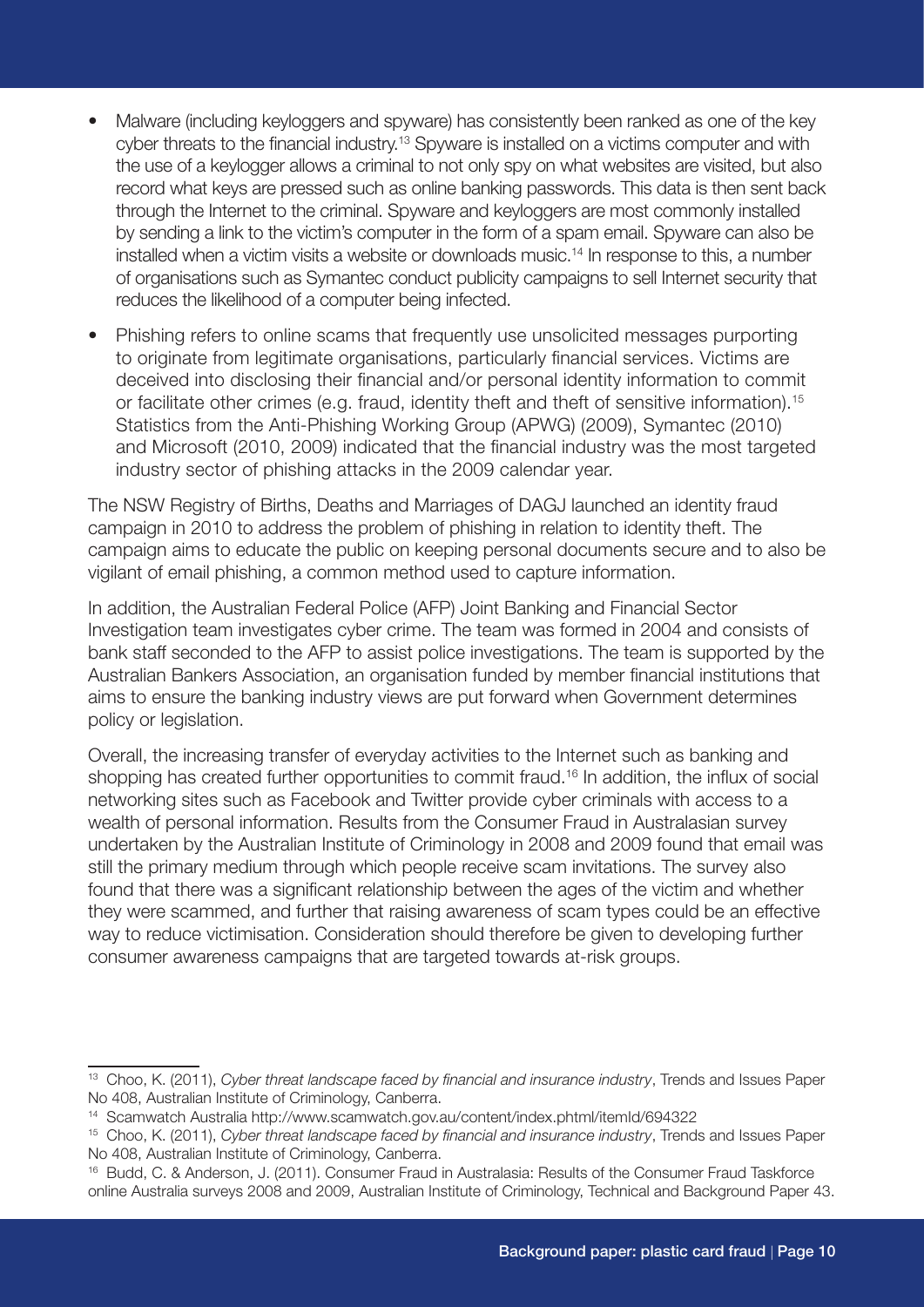- Malware (including keyloggers and spyware) has consistently been ranked as one of the key cyber threats to the financial industry.<sup>13</sup> Spyware is installed on a victims computer and with the use of a keylogger allows a criminal to not only spy on what websites are visited, but also record what keys are pressed such as online banking passwords. This data is then sent back through the Internet to the criminal. Spyware and keyloggers are most commonly installed by sending a link to the victim's computer in the form of a spam email. Spyware can also be installed when a victim visits a website or downloads music.<sup>14</sup> In response to this, a number of organisations such as Symantec conduct publicity campaigns to sell Internet security that reduces the likelihood of a computer being infected.
- Phishing refers to online scams that frequently use unsolicited messages purporting to originate from legitimate organisations, particularly financial services. Victims are deceived into disclosing their financial and/or personal identity information to commit or facilitate other crimes (e.g. fraud, identity theft and theft of sensitive information).<sup>15</sup> Statistics from the Anti-Phishing Working Group (APWG) (2009), Symantec (2010) and Microsoft (2010, 2009) indicated that the financial industry was the most targeted industry sector of phishing attacks in the 2009 calendar year.

The NSW Registry of Births, Deaths and Marriages of DAGJ launched an identity fraud campaign in 2010 to address the problem of phishing in relation to identity theft. The campaign aims to educate the public on keeping personal documents secure and to also be vigilant of email phishing, a common method used to capture information.

In addition, the Australian Federal Police (AFP) Joint Banking and Financial Sector Investigation team investigates cyber crime. The team was formed in 2004 and consists of bank staff seconded to the AFP to assist police investigations. The team is supported by the Australian Bankers Association, an organisation funded by member financial institutions that aims to ensure the banking industry views are put forward when Government determines policy or legislation.

Overall, the increasing transfer of everyday activities to the Internet such as banking and shopping has created further opportunities to commit fraud.<sup>16</sup> In addition, the influx of social networking sites such as Facebook and Twitter provide cyber criminals with access to a wealth of personal information. Results from the Consumer Fraud in Australasian survey undertaken by the Australian Institute of Criminology in 2008 and 2009 found that email was still the primary medium through which people receive scam invitations. The survey also found that there was a significant relationship between the ages of the victim and whether they were scammed, and further that raising awareness of scam types could be an effective way to reduce victimisation. Consideration should therefore be given to developing further consumer awareness campaigns that are targeted towards at-risk groups.

<sup>13</sup> Choo, K. (2011), *Cyber threat landscape faced by financial and insurance industry*, Trends and Issues Paper No 408, Australian Institute of Criminology, Canberra.

<sup>14</sup> Scamwatch Australia http://www.scamwatch.gov.au/content/index.phtml/itemId/694322

<sup>15</sup> Choo, K. (2011), *Cyber threat landscape faced by financial and insurance industry*, Trends and Issues Paper No 408, Australian Institute of Criminology, Canberra.

<sup>16</sup> Budd, C. & Anderson, J. (2011). Consumer Fraud in Australasia: Results of the Consumer Fraud Taskforce online Australia surveys 2008 and 2009, Australian Institute of Criminology, Technical and Background Paper 43.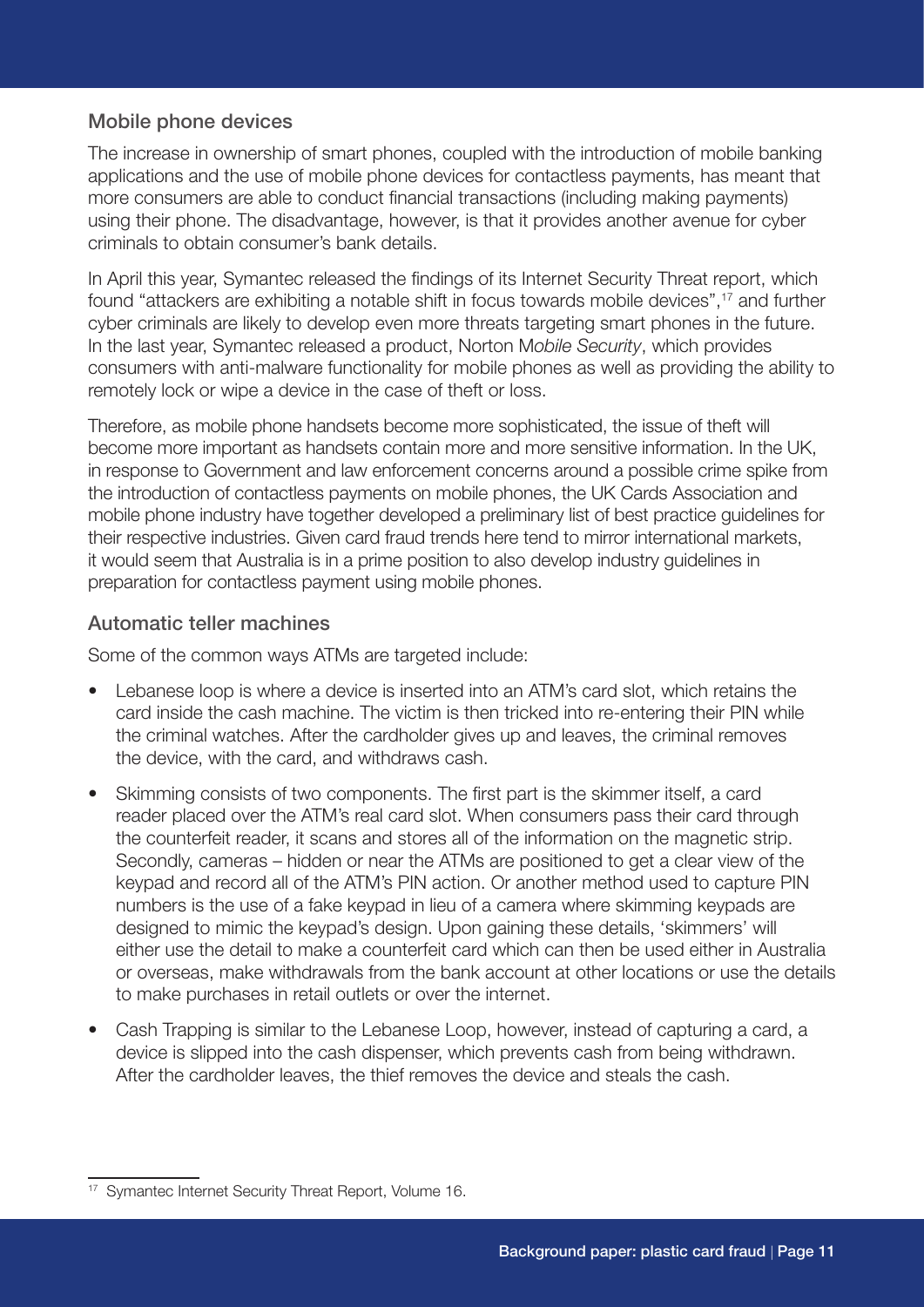#### Mobile phone devices

The increase in ownership of smart phones, coupled with the introduction of mobile banking applications and the use of mobile phone devices for contactless payments, has meant that more consumers are able to conduct financial transactions (including making payments) using their phone. The disadvantage, however, is that it provides another avenue for cyber criminals to obtain consumer's bank details.

In April this year, Symantec released the findings of its Internet Security Threat report, which found "attackers are exhibiting a notable shift in focus towards mobile devices",<sup>17</sup> and further cyber criminals are likely to develop even more threats targeting smart phones in the future. In the last year, Symantec released a product, Norton M*obile Security*, which provides consumers with anti-malware functionality for mobile phones as well as providing the ability to remotely lock or wipe a device in the case of theft or loss.

Therefore, as mobile phone handsets become more sophisticated, the issue of theft will become more important as handsets contain more and more sensitive information. In the UK, in response to Government and law enforcement concerns around a possible crime spike from the introduction of contactless payments on mobile phones, the UK Cards Association and mobile phone industry have together developed a preliminary list of best practice guidelines for their respective industries. Given card fraud trends here tend to mirror international markets, it would seem that Australia is in a prime position to also develop industry guidelines in preparation for contactless payment using mobile phones.

#### Automatic teller machines

Some of the common ways ATMs are targeted include:

- Lebanese loop is where a device is inserted into an ATM's card slot, which retains the card inside the cash machine. The victim is then tricked into re-entering their PIN while the criminal watches. After the cardholder gives up and leaves, the criminal removes the device, with the card, and withdraws cash.
- Skimming consists of two components. The first part is the skimmer itself, a card reader placed over the ATM's real card slot. When consumers pass their card through the counterfeit reader, it scans and stores all of the information on the magnetic strip. Secondly, cameras – hidden or near the ATMs are positioned to get a clear view of the keypad and record all of the ATM's PIN action. Or another method used to capture PIN numbers is the use of a fake keypad in lieu of a camera where skimming keypads are designed to mimic the keypad's design. Upon gaining these details, 'skimmers' will either use the detail to make a counterfeit card which can then be used either in Australia or overseas, make withdrawals from the bank account at other locations or use the details to make purchases in retail outlets or over the internet.
- Cash Trapping is similar to the Lebanese Loop, however, instead of capturing a card, a device is slipped into the cash dispenser, which prevents cash from being withdrawn. After the cardholder leaves, the thief removes the device and steals the cash.

<sup>&</sup>lt;sup>17</sup> Symantec Internet Security Threat Report, Volume 16.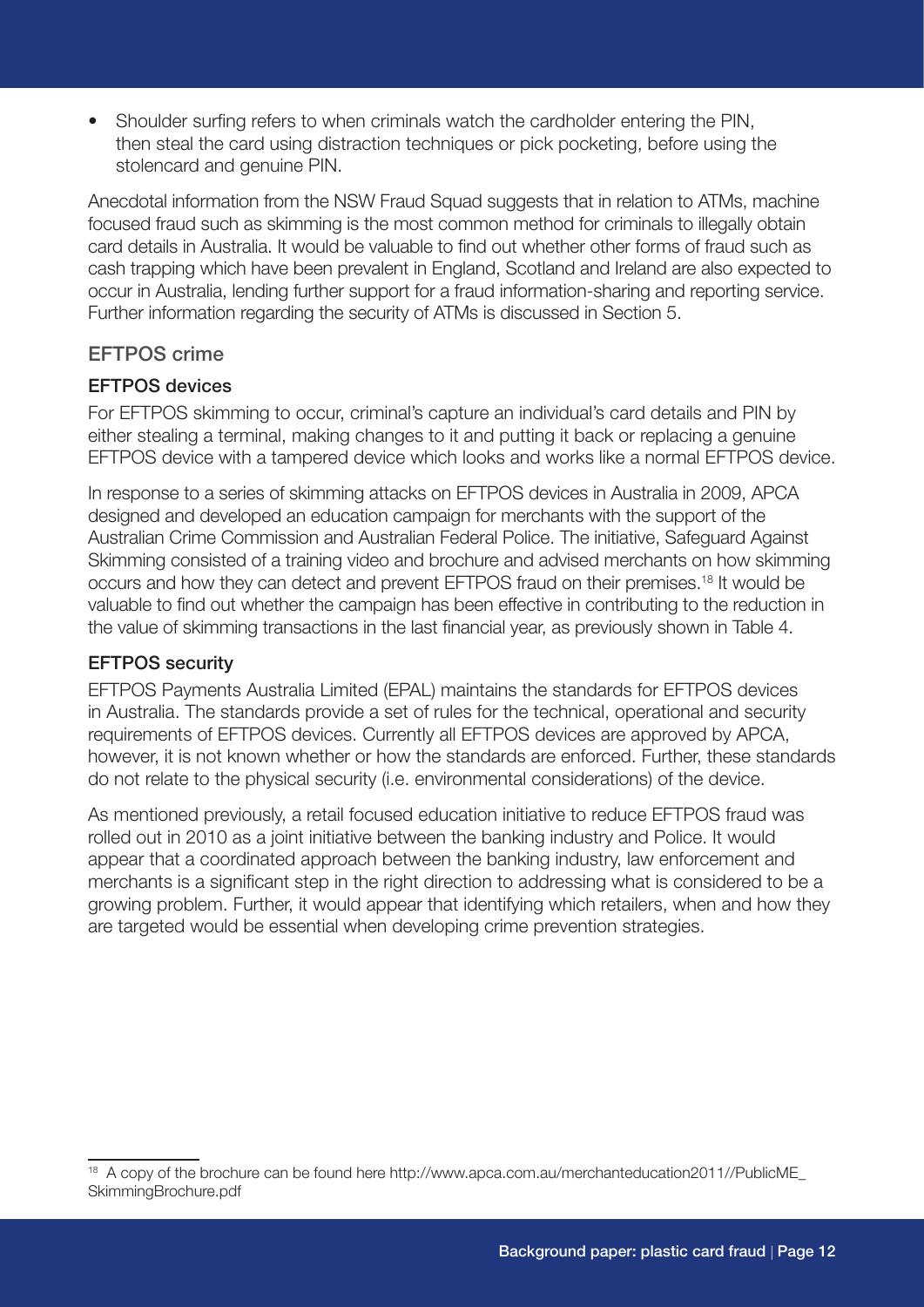• Shoulder surfing refers to when criminals watch the cardholder entering the PIN, then steal the card using distraction techniques or pick pocketing, before using the stolencard and genuine PIN.

Anecdotal information from the NSW Fraud Squad suggests that in relation to ATMs, machine focused fraud such as skimming is the most common method for criminals to illegally obtain card details in Australia. It would be valuable to find out whether other forms of fraud such as cash trapping which have been prevalent in England, Scotland and Ireland are also expected to occur in Australia, lending further support for a fraud information-sharing and reporting service. Further information regarding the security of ATMs is discussed in Section 5.

#### EFTPOS crime

#### EFTPOS devices

For EFTPOS skimming to occur, criminal's capture an individual's card details and PIN by either stealing a terminal, making changes to it and putting it back or replacing a genuine EFTPOS device with a tampered device which looks and works like a normal EFTPOS device.

In response to a series of skimming attacks on EFTPOS devices in Australia in 2009, APCA designed and developed an education campaign for merchants with the support of the Australian Crime Commission and Australian Federal Police. The initiative, Safeguard Against Skimming consisted of a training video and brochure and advised merchants on how skimming occurs and how they can detect and prevent EFTPOS fraud on their premises.18 It would be valuable to find out whether the campaign has been effective in contributing to the reduction in the value of skimming transactions in the last financial year, as previously shown in Table 4.

#### EFTPOS security

EFTPOS Payments Australia Limited (EPAL) maintains the standards for EFTPOS devices in Australia. The standards provide a set of rules for the technical, operational and security requirements of EFTPOS devices. Currently all EFTPOS devices are approved by APCA, however, it is not known whether or how the standards are enforced. Further, these standards do not relate to the physical security (i.e. environmental considerations) of the device.

As mentioned previously, a retail focused education initiative to reduce EFTPOS fraud was rolled out in 2010 as a joint initiative between the banking industry and Police. It would appear that a coordinated approach between the banking industry, law enforcement and merchants is a significant step in the right direction to addressing what is considered to be a growing problem. Further, it would appear that identifying which retailers, when and how they are targeted would be essential when developing crime prevention strategies.

<sup>18</sup> A copy of the brochure can be found here http://www.apca.com.au/merchanteducation2011//PublicME\_ SkimmingBrochure.pdf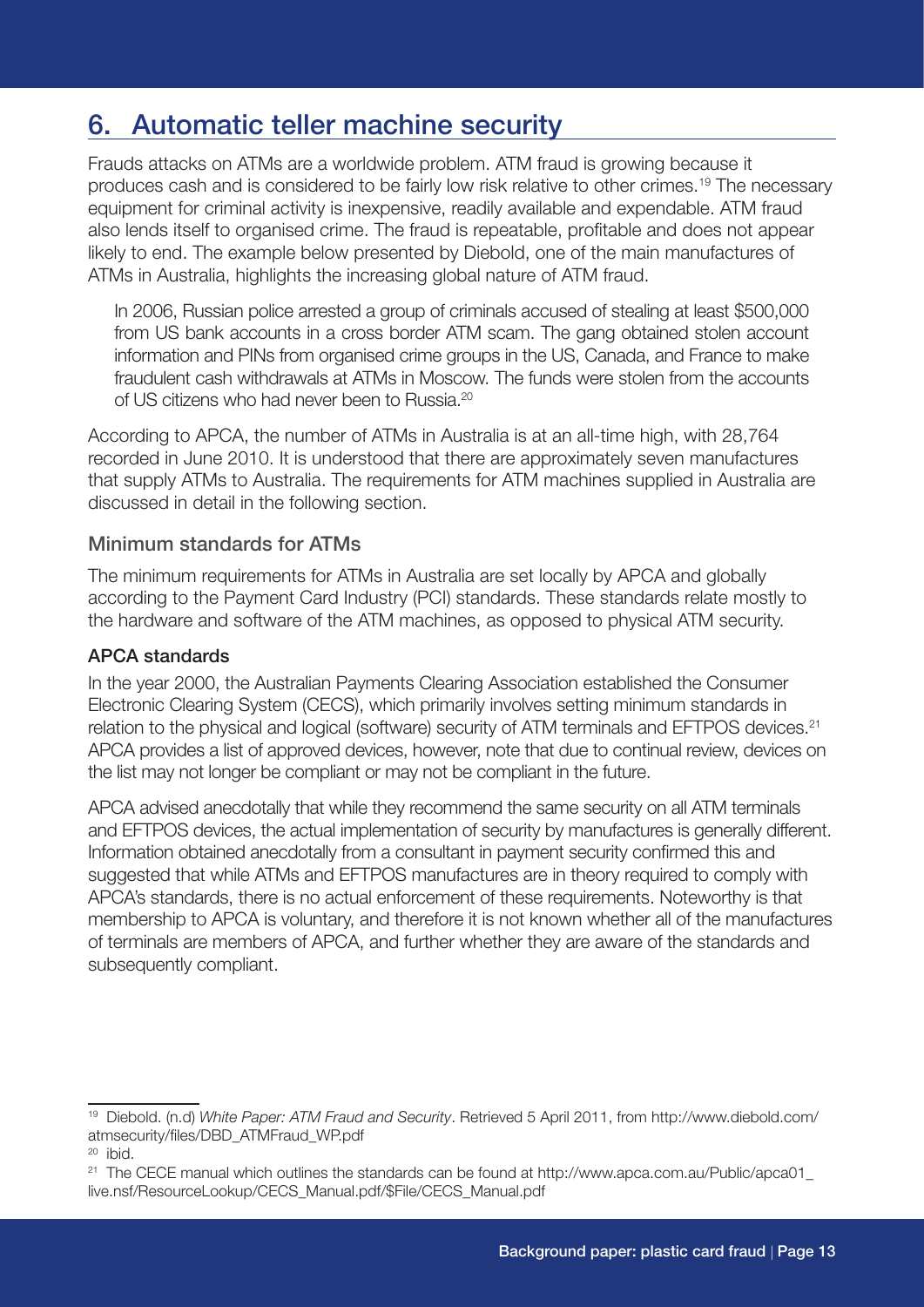# 6. Automatic teller machine security

Frauds attacks on ATMs are a worldwide problem. ATM fraud is growing because it produces cash and is considered to be fairly low risk relative to other crimes.19 The necessary equipment for criminal activity is inexpensive, readily available and expendable. ATM fraud also lends itself to organised crime. The fraud is repeatable, profitable and does not appear likely to end. The example below presented by Diebold, one of the main manufactures of ATMs in Australia, highlights the increasing global nature of ATM fraud.

In 2006, Russian police arrested a group of criminals accused of stealing at least \$500,000 from US bank accounts in a cross border ATM scam. The gang obtained stolen account information and PINs from organised crime groups in the US, Canada, and France to make fraudulent cash withdrawals at ATMs in Moscow. The funds were stolen from the accounts of US citizens who had never been to Russia.20

According to APCA, the number of ATMs in Australia is at an all-time high, with 28,764 recorded in June 2010. It is understood that there are approximately seven manufactures that supply ATMs to Australia. The requirements for ATM machines supplied in Australia are discussed in detail in the following section.

#### Minimum standards for ATMs

The minimum requirements for ATMs in Australia are set locally by APCA and globally according to the Payment Card Industry (PCI) standards. These standards relate mostly to the hardware and software of the ATM machines, as opposed to physical ATM security.

#### APCA standards

In the year 2000, the Australian Payments Clearing Association established the Consumer Electronic Clearing System (CECS), which primarily involves setting minimum standards in relation to the physical and logical (software) security of ATM terminals and EFTPOS devices.<sup>21</sup> APCA provides a list of approved devices, however, note that due to continual review, devices on the list may not longer be compliant or may not be compliant in the future.

APCA advised anecdotally that while they recommend the same security on all ATM terminals and EFTPOS devices, the actual implementation of security by manufactures is generally different. Information obtained anecdotally from a consultant in payment security confirmed this and suggested that while ATMs and EFTPOS manufactures are in theory required to comply with APCA's standards, there is no actual enforcement of these requirements. Noteworthy is that membership to APCA is voluntary, and therefore it is not known whether all of the manufactures of terminals are members of APCA, and further whether they are aware of the standards and subsequently compliant.

<sup>19</sup> Diebold. (n.d) *White Paper: ATM Fraud and Security*. Retrieved 5 April 2011, from http://www.diebold.com/ atmsecurity/files/DBD\_ATMFraud\_WP.pdf

<sup>20</sup> ibid.

<sup>&</sup>lt;sup>21</sup> The CECE manual which outlines the standards can be found at http://www.apca.com.au/Public/apca01 live.nsf/ResourceLookup/CECS\_Manual.pdf/\$File/CECS\_Manual.pdf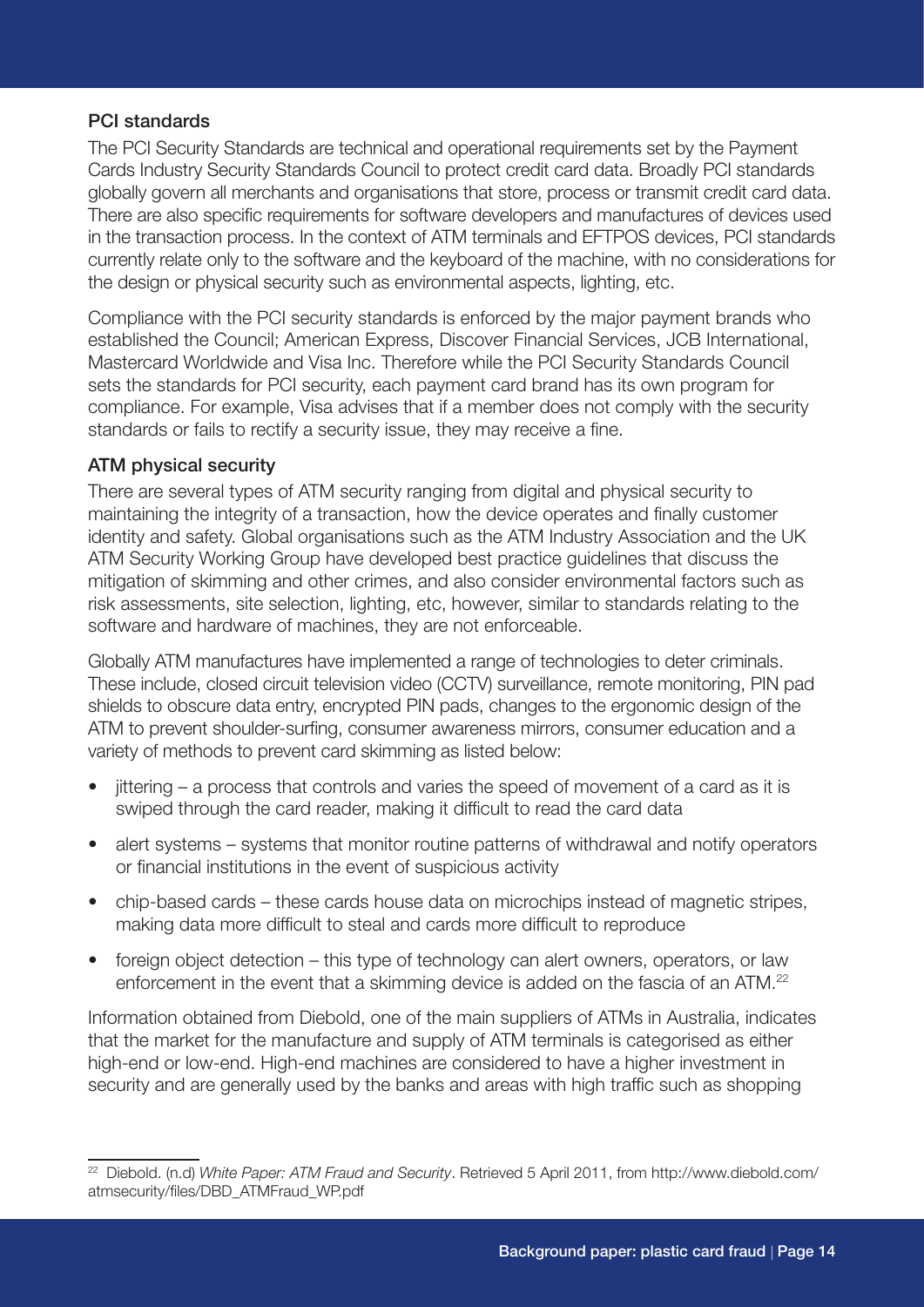#### PCI standards

The PCI Security Standards are technical and operational requirements set by the Payment Cards Industry Security Standards Council to protect credit card data. Broadly PCI standards globally govern all merchants and organisations that store, process or transmit credit card data. There are also specific requirements for software developers and manufactures of devices used in the transaction process. In the context of ATM terminals and EFTPOS devices, PCI standards currently relate only to the software and the keyboard of the machine, with no considerations for the design or physical security such as environmental aspects, lighting, etc.

Compliance with the PCI security standards is enforced by the major payment brands who established the Council; American Express, Discover Financial Services, JCB International, Mastercard Worldwide and Visa Inc. Therefore while the PCI Security Standards Council sets the standards for PCI security, each payment card brand has its own program for compliance. For example, Visa advises that if a member does not comply with the security standards or fails to rectify a security issue, they may receive a fine.

#### ATM physical security

There are several types of ATM security ranging from digital and physical security to maintaining the integrity of a transaction, how the device operates and finally customer identity and safety. Global organisations such as the ATM Industry Association and the UK ATM Security Working Group have developed best practice guidelines that discuss the mitigation of skimming and other crimes, and also consider environmental factors such as risk assessments, site selection, lighting, etc, however, similar to standards relating to the software and hardware of machines, they are not enforceable.

Globally ATM manufactures have implemented a range of technologies to deter criminals. These include, closed circuit television video (CCTV) surveillance, remote monitoring, PIN pad shields to obscure data entry, encrypted PIN pads, changes to the ergonomic design of the ATM to prevent shoulder-surfing, consumer awareness mirrors, consumer education and a variety of methods to prevent card skimming as listed below:

- jittering a process that controls and varies the speed of movement of a card as it is swiped through the card reader, making it difficult to read the card data
- alert systems systems that monitor routine patterns of withdrawal and notify operators or financial institutions in the event of suspicious activity
- chip-based cards these cards house data on microchips instead of magnetic stripes, making data more difficult to steal and cards more difficult to reproduce
- foreign object detection this type of technology can alert owners, operators, or law enforcement in the event that a skimming device is added on the fascia of an ATM.<sup>22</sup>

Information obtained from Diebold, one of the main suppliers of ATMs in Australia, indicates that the market for the manufacture and supply of ATM terminals is categorised as either high-end or low-end. High-end machines are considered to have a higher investment in security and are generally used by the banks and areas with high traffic such as shopping

<sup>22</sup> Diebold. (n.d) *White Paper: ATM Fraud and Security*. Retrieved 5 April 2011, from http://www.diebold.com/ atmsecurity/files/DBD\_ATMFraud\_WP.pdf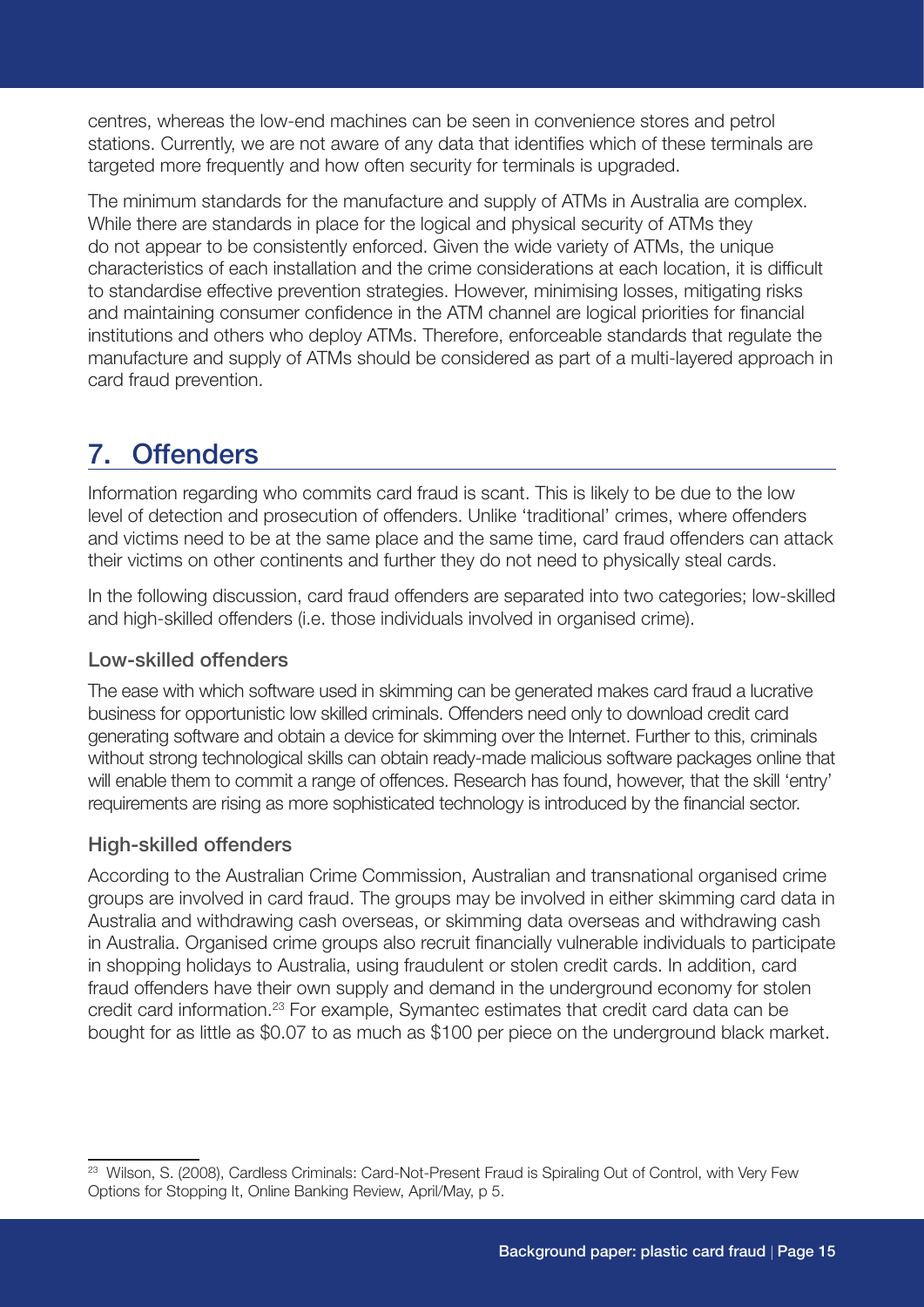centres, whereas the low-end machines can be seen in convenience stores and petrol stations. Currently, we are not aware of any data that identifies which of these terminals are targeted more frequently and how often security for terminals is upgraded.

The minimum standards for the manufacture and supply of ATMs in Australia are complex. While there are standards in place for the logical and physical security of ATMs they do not appear to be consistently enforced. Given the wide variety of ATMs, the unique characteristics of each installation and the crime considerations at each location, it is difficult to standardise effective prevention strategies. However, minimising losses, mitigating risks and maintaining consumer confidence in the ATM channel are logical priorities for financial institutions and others who deploy ATMs. Therefore, enforceable standards that regulate the manufacture and supply of ATMs should be considered as part of a multi-layered approach in card fraud prevention.

# 7. Offenders

Information regarding who commits card fraud is scant. This is likely to be due to the low level of detection and prosecution of offenders. Unlike 'traditional' crimes, where offenders and victims need to be at the same place and the same time, card fraud offenders can attack their victims on other continents and further they do not need to physically steal cards.

In the following discussion, card fraud offenders are separated into two categories; low-skilled and high-skilled offenders (i.e. those individuals involved in organised crime).

### Low-skilled offenders

The ease with which software used in skimming can be generated makes card fraud a lucrative business for opportunistic low skilled criminals. Offenders need only to download credit card generating software and obtain a device for skimming over the Internet. Further to this, criminals without strong technological skills can obtain ready-made malicious software packages online that will enable them to commit a range of offences. Research has found, however, that the skill 'entry' requirements are rising as more sophisticated technology is introduced by the financial sector.

### High-skilled offenders

According to the Australian Crime Commission, Australian and transnational organised crime groups are involved in card fraud. The groups may be involved in either skimming card data in Australia and withdrawing cash overseas, or skimming data overseas and withdrawing cash in Australia. Organised crime groups also recruit financially vulnerable individuals to participate in shopping holidays to Australia, using fraudulent or stolen credit cards. In addition, card fraud offenders have their own supply and demand in the underground economy for stolen credit card information.23 For example, Symantec estimates that credit card data can be bought for as little as \$0.07 to as much as \$100 per piece on the underground black market.

<sup>&</sup>lt;sup>23</sup> Wilson, S. (2008), Cardless Criminals: Card-Not-Present Fraud is Spiraling Out of Control, with Very Few Options for Stopping It, Online Banking Review, April/May, p 5.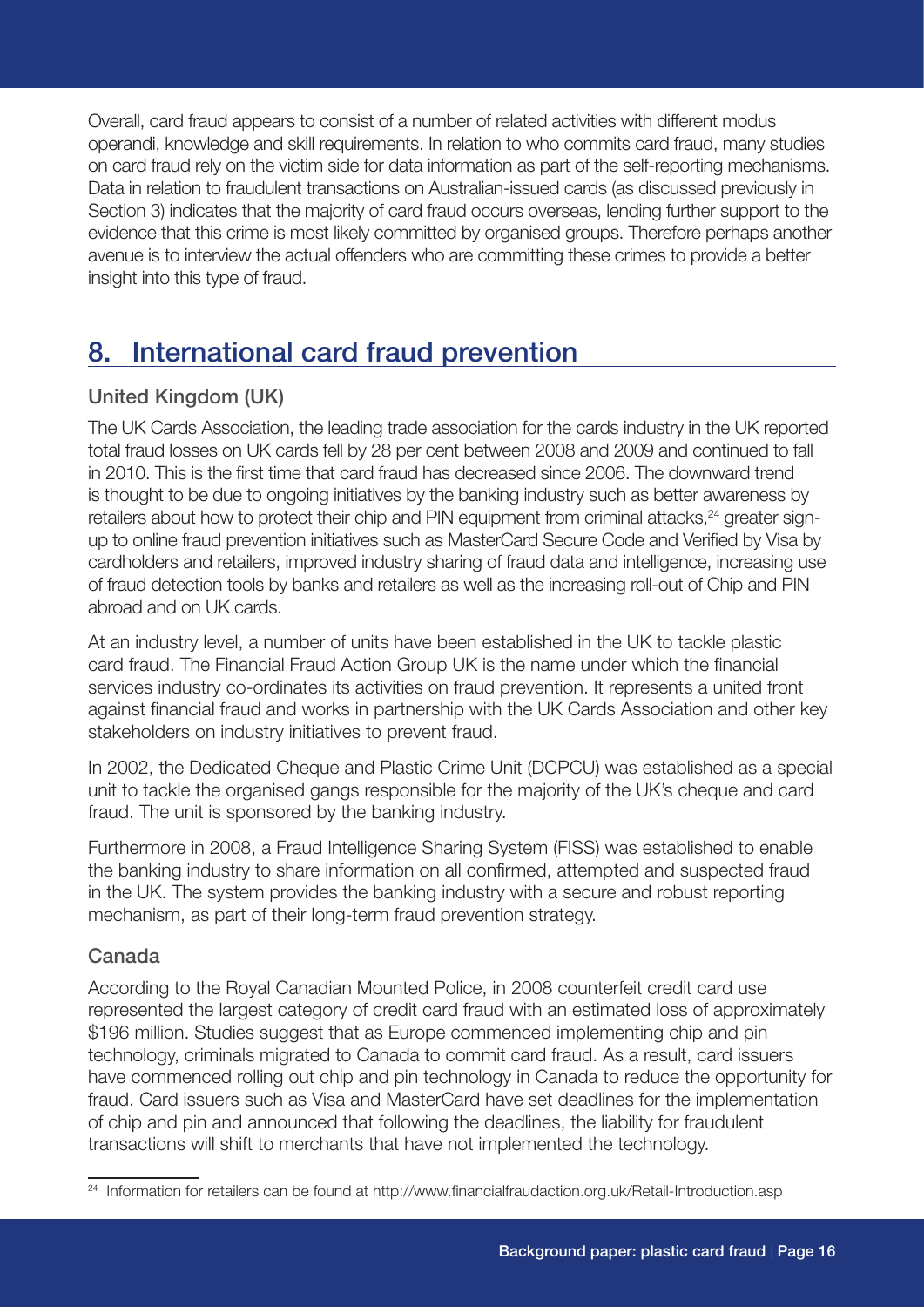Overall, card fraud appears to consist of a number of related activities with different modus operandi, knowledge and skill requirements. In relation to who commits card fraud, many studies on card fraud rely on the victim side for data information as part of the self-reporting mechanisms. Data in relation to fraudulent transactions on Australian-issued cards (as discussed previously in Section 3) indicates that the majority of card fraud occurs overseas, lending further support to the evidence that this crime is most likely committed by organised groups. Therefore perhaps another avenue is to interview the actual offenders who are committing these crimes to provide a better insight into this type of fraud.

# 8. International card fraud prevention

## United Kingdom (UK)

The UK Cards Association, the leading trade association for the cards industry in the UK reported total fraud losses on UK cards fell by 28 per cent between 2008 and 2009 and continued to fall in 2010. This is the first time that card fraud has decreased since 2006. The downward trend is thought to be due to ongoing initiatives by the banking industry such as better awareness by retailers about how to protect their chip and PIN equipment from criminal attacks,<sup>24</sup> greater signup to online fraud prevention initiatives such as MasterCard Secure Code and Verified by Visa by cardholders and retailers, improved industry sharing of fraud data and intelligence, increasing use of fraud detection tools by banks and retailers as well as the increasing roll-out of Chip and PIN abroad and on UK cards.

At an industry level, a number of units have been established in the UK to tackle plastic card fraud. The Financial Fraud Action Group UK is the name under which the financial services industry co-ordinates its activities on fraud prevention. It represents a united front against financial fraud and works in partnership with the UK Cards Association and other key stakeholders on industry initiatives to prevent fraud.

In 2002, the Dedicated Cheque and Plastic Crime Unit (DCPCU) was established as a special unit to tackle the organised gangs responsible for the majority of the UK's cheque and card fraud. The unit is sponsored by the banking industry.

Furthermore in 2008, a Fraud Intelligence Sharing System (FISS) was established to enable the banking industry to share information on all confirmed, attempted and suspected fraud in the UK. The system provides the banking industry with a secure and robust reporting mechanism, as part of their long-term fraud prevention strategy.

### Canada

According to the Royal Canadian Mounted Police, in 2008 counterfeit credit card use represented the largest category of credit card fraud with an estimated loss of approximately \$196 million. Studies suggest that as Europe commenced implementing chip and pin technology, criminals migrated to Canada to commit card fraud. As a result, card issuers have commenced rolling out chip and pin technology in Canada to reduce the opportunity for fraud. Card issuers such as Visa and MasterCard have set deadlines for the implementation of chip and pin and announced that following the deadlines, the liability for fraudulent transactions will shift to merchants that have not implemented the technology.

<sup>&</sup>lt;sup>24</sup> Information for retailers can be found at http://www.financialfraudaction.org.uk/Retail-Introduction.asp